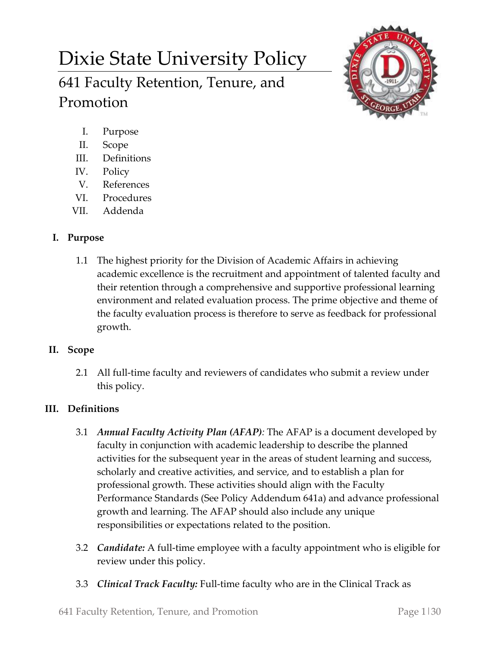# Dixie State University Policy

# 641 Faculty Retention, Tenure, and Promotion



- I. Purpose
- II. Scope
- III. Definitions
- IV. Policy
- V. References
- VI. Procedures
- VII. Addenda

## **I. Purpose**

1.1 The highest priority for the Division of Academic Affairs in achieving academic excellence is the recruitment and appointment of talented faculty and their retention through a comprehensive and supportive professional learning environment and related evaluation process. The prime objective and theme of the faculty evaluation process is therefore to serve as feedback for professional growth.

### **II. Scope**

2.1 All full-time faculty and reviewers of candidates who submit a review under this policy.

# **III. Definitions**

- 3.1 *Annual Faculty Activity Plan (AFAP):* The AFAP is a document developed by faculty in conjunction with academic leadership to describe the planned activities for the subsequent year in the areas of student learning and success, scholarly and creative activities, and service, and to establish a plan for professional growth. These activities should align with the Faculty Performance Standards (See Policy Addendum 641a) and advance professional growth and learning. The AFAP should also include any unique responsibilities or expectations related to the position.
- 3.2 *Candidate:* A full-time employee with a faculty appointment who is eligible for review under this policy.
- 3.3 *Clinical Track Faculty:* Full-time faculty who are in the Clinical Track as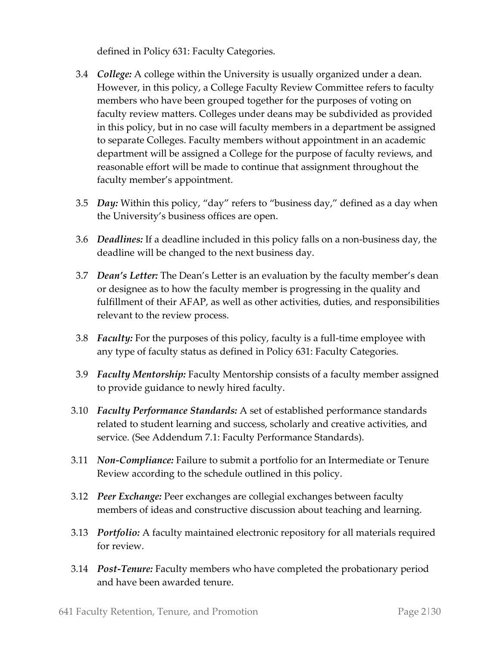defined in Policy 631: Faculty Categories.

- 3.4 *College:* A college within the University is usually organized under a dean. However, in this policy, a College Faculty Review Committee refers to faculty members who have been grouped together for the purposes of voting on faculty review matters. Colleges under deans may be subdivided as provided in this policy, but in no case will faculty members in a department be assigned to separate Colleges. Faculty members without appointment in an academic department will be assigned a College for the purpose of faculty reviews, and reasonable effort will be made to continue that assignment throughout the faculty member's appointment.
- 3.5 *Day:* Within this policy, "day" refers to "business day," defined as a day when the University's business offices are open.
- 3.6 *Deadlines:* If a deadline included in this policy falls on a non-business day, the deadline will be changed to the next business day.
- 3.7 *Dean's Letter:* The Dean's Letter is an evaluation by the faculty member's dean or designee as to how the faculty member is progressing in the quality and fulfillment of their AFAP, as well as other activities, duties, and responsibilities relevant to the review process.
- 3.8 *Faculty:* For the purposes of this policy, faculty is a full-time employee with any type of faculty status as defined in Policy 631: Faculty Categories.
- 3.9 *Faculty Mentorship:* Faculty Mentorship consists of a faculty member assigned to provide guidance to newly hired faculty.
- 3.10 *Faculty Performance Standards:* A set of established performance standards related to student learning and success, scholarly and creative activities, and service. (See Addendum 7.1: Faculty Performance Standards).
- 3.11 *Non-Compliance:* Failure to submit a portfolio for an Intermediate or Tenure Review according to the schedule outlined in this policy.
- 3.12 *Peer Exchange:* Peer exchanges are collegial exchanges between faculty members of ideas and constructive discussion about teaching and learning.
- 3.13 *Portfolio:* A faculty maintained electronic repository for all materials required for review.
- 3.14 *Post-Tenure:* Faculty members who have completed the probationary period and have been awarded tenure.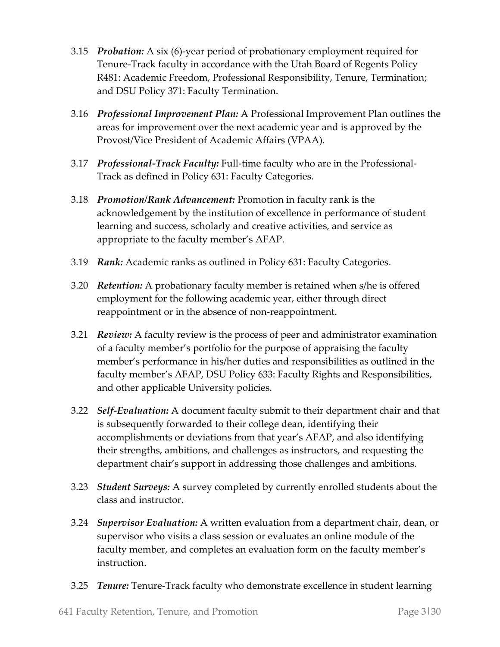- 3.15 *Probation:* A six (6)-year period of probationary employment required for Tenure-Track faculty in accordance with the Utah Board of Regents Policy R481: Academic Freedom, Professional Responsibility, Tenure, Termination; and DSU Policy 371: Faculty Termination.
- 3.16 *Professional Improvement Plan:* A Professional Improvement Plan outlines the areas for improvement over the next academic year and is approved by the Provost/Vice President of Academic Affairs (VPAA).
- 3.17 *Professional-Track Faculty:* Full-time faculty who are in the Professional-Track as defined in Policy 631: Faculty Categories.
- 3.18 *Promotion/Rank Advancement:* Promotion in faculty rank is the acknowledgement by the institution of excellence in performance of student learning and success, scholarly and creative activities, and service as appropriate to the faculty member's AFAP.
- 3.19 *Rank:* Academic ranks as outlined in Policy 631: Faculty Categories.
- 3.20 *Retention:* A probationary faculty member is retained when s/he is offered employment for the following academic year, either through direct reappointment or in the absence of non-reappointment.
- 3.21 *Review:* A faculty review is the process of peer and administrator examination of a faculty member's portfolio for the purpose of appraising the faculty member's performance in his/her duties and responsibilities as outlined in the faculty member's AFAP, DSU Policy 633: Faculty Rights and Responsibilities, and other applicable University policies.
- 3.22 *Self-Evaluation:* A document faculty submit to their department chair and that is subsequently forwarded to their college dean, identifying their accomplishments or deviations from that year's AFAP, and also identifying their strengths, ambitions, and challenges as instructors, and requesting the department chair's support in addressing those challenges and ambitions.
- 3.23 *Student Surveys:* A survey completed by currently enrolled students about the class and instructor.
- 3.24 *Supervisor Evaluation:* A written evaluation from a department chair, dean, or supervisor who visits a class session or evaluates an online module of the faculty member, and completes an evaluation form on the faculty member's instruction.
- 3.25 *Tenure:* Tenure-Track faculty who demonstrate excellence in student learning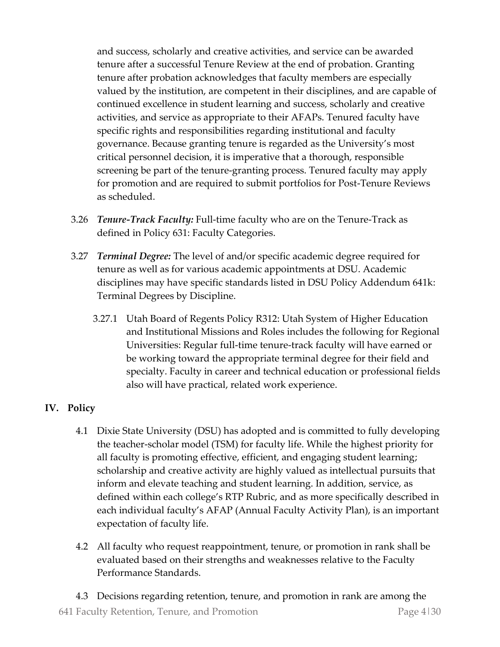and success, scholarly and creative activities, and service can be awarded tenure after a successful Tenure Review at the end of probation. Granting tenure after probation acknowledges that faculty members are especially valued by the institution, are competent in their disciplines, and are capable of continued excellence in student learning and success, scholarly and creative activities, and service as appropriate to their AFAPs. Tenured faculty have specific rights and responsibilities regarding institutional and faculty governance. Because granting tenure is regarded as the University's most critical personnel decision, it is imperative that a thorough, responsible screening be part of the tenure-granting process. Tenured faculty may apply for promotion and are required to submit portfolios for Post-Tenure Reviews as scheduled.

- 3.26 *Tenure-Track Faculty:* Full-time faculty who are on the Tenure-Track as defined in Policy 631: Faculty Categories.
- 3.27 *Terminal Degree:* The level of and/or specific academic degree required for tenure as well as for various academic appointments at DSU. Academic disciplines may have specific standards listed in DSU Policy Addendum 641k: Terminal Degrees by Discipline.
	- 3.27.1 Utah Board of Regents Policy R312: Utah System of Higher Education and Institutional Missions and Roles includes the following for Regional Universities: Regular full-time tenure-track faculty will have earned or be working toward the appropriate terminal degree for their field and specialty. Faculty in career and technical education or professional fields also will have practical, related work experience.

# **IV. Policy**

- 4.1 Dixie State University (DSU) has adopted and is committed to fully developing the teacher-scholar model (TSM) for faculty life. While the highest priority for all faculty is promoting effective, efficient, and engaging student learning; scholarship and creative activity are highly valued as intellectual pursuits that inform and elevate teaching and student learning. In addition, service, as defined within each college's RTP Rubric, and as more specifically described in each individual faculty's AFAP (Annual Faculty Activity Plan), is an important expectation of faculty life.
- 4.2 All faculty who request reappointment, tenure, or promotion in rank shall be evaluated based on their strengths and weaknesses relative to the Faculty Performance Standards.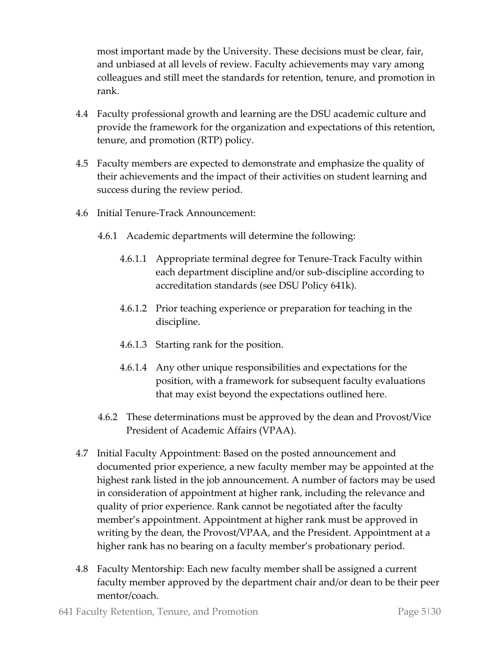most important made by the University. These decisions must be clear, fair, and unbiased at all levels of review. Faculty achievements may vary among colleagues and still meet the standards for retention, tenure, and promotion in rank.

- 4.4 Faculty professional growth and learning are the DSU academic culture and provide the framework for the organization and expectations of this retention, tenure, and promotion (RTP) policy.
- 4.5 Faculty members are expected to demonstrate and emphasize the quality of their achievements and the impact of their activities on student learning and success during the review period.
- 4.6 Initial Tenure-Track Announcement:
	- 4.6.1 Academic departments will determine the following:
		- 4.6.1.1 Appropriate terminal degree for Tenure-Track Faculty within each department discipline and/or sub-discipline according to accreditation standards (see DSU Policy 641k).
		- 4.6.1.2 Prior teaching experience or preparation for teaching in the discipline.
		- 4.6.1.3 Starting rank for the position.
		- 4.6.1.4 Any other unique responsibilities and expectations for the position, with a framework for subsequent faculty evaluations that may exist beyond the expectations outlined here.
	- 4.6.2 These determinations must be approved by the dean and Provost/Vice President of Academic Affairs (VPAA).
- 4.7 Initial Faculty Appointment: Based on the posted announcement and documented prior experience, a new faculty member may be appointed at the highest rank listed in the job announcement. A number of factors may be used in consideration of appointment at higher rank, including the relevance and quality of prior experience. Rank cannot be negotiated after the faculty member's appointment. Appointment at higher rank must be approved in writing by the dean, the Provost/VPAA, and the President. Appointment at a higher rank has no bearing on a faculty member's probationary period.
- 4.8 Faculty Mentorship: Each new faculty member shall be assigned a current faculty member approved by the department chair and/or dean to be their peer mentor/coach.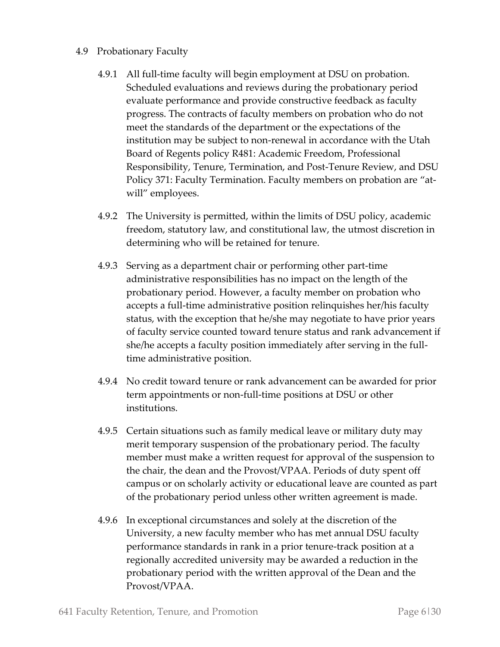- 4.9 Probationary Faculty
	- 4.9.1 All full-time faculty will begin employment at DSU on probation. Scheduled evaluations and reviews during the probationary period evaluate performance and provide constructive feedback as faculty progress. The contracts of faculty members on probation who do not meet the standards of the department or the expectations of the institution may be subject to non-renewal in accordance with the Utah Board of Regents policy R481: Academic Freedom, Professional Responsibility, Tenure, Termination, and Post-Tenure Review, and DSU Policy 371: Faculty Termination. Faculty members on probation are "atwill" employees.
	- 4.9.2 The University is permitted, within the limits of DSU policy, academic freedom, statutory law, and constitutional law, the utmost discretion in determining who will be retained for tenure.
	- 4.9.3 Serving as a department chair or performing other part-time administrative responsibilities has no impact on the length of the probationary period. However, a faculty member on probation who accepts a full-time administrative position relinquishes her/his faculty status, with the exception that he/she may negotiate to have prior years of faculty service counted toward tenure status and rank advancement if she/he accepts a faculty position immediately after serving in the fulltime administrative position.
	- 4.9.4 No credit toward tenure or rank advancement can be awarded for prior term appointments or non-full-time positions at DSU or other institutions.
	- 4.9.5 Certain situations such as family medical leave or military duty may merit temporary suspension of the probationary period. The faculty member must make a written request for approval of the suspension to the chair, the dean and the Provost/VPAA. Periods of duty spent off campus or on scholarly activity or educational leave are counted as part of the probationary period unless other written agreement is made.
	- 4.9.6 In exceptional circumstances and solely at the discretion of the University, a new faculty member who has met annual DSU faculty performance standards in rank in a prior tenure-track position at a regionally accredited university may be awarded a reduction in the probationary period with the written approval of the Dean and the Provost/VPAA.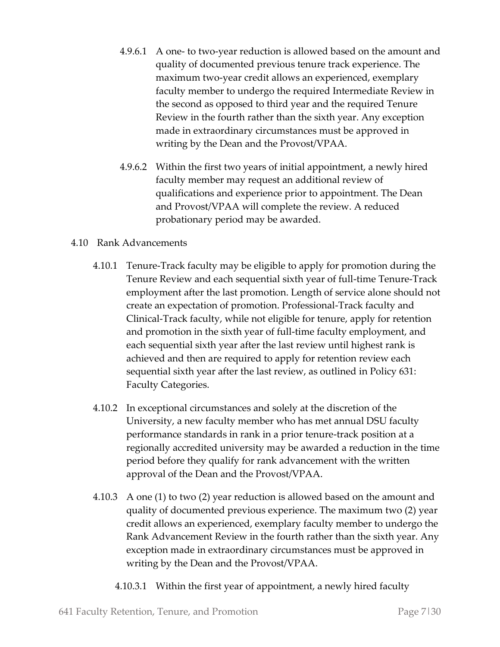- 4.9.6.1 A one- to two-year reduction is allowed based on the amount and quality of documented previous tenure track experience. The maximum two-year credit allows an experienced, exemplary faculty member to undergo the required Intermediate Review in the second as opposed to third year and the required Tenure Review in the fourth rather than the sixth year. Any exception made in extraordinary circumstances must be approved in writing by the Dean and the Provost/VPAA.
- 4.9.6.2 Within the first two years of initial appointment, a newly hired faculty member may request an additional review of qualifications and experience prior to appointment. The Dean and Provost/VPAA will complete the review. A reduced probationary period may be awarded.

#### 4.10 Rank Advancements

- 4.10.1 Tenure-Track faculty may be eligible to apply for promotion during the Tenure Review and each sequential sixth year of full-time Tenure-Track employment after the last promotion. Length of service alone should not create an expectation of promotion. Professional-Track faculty and Clinical-Track faculty, while not eligible for tenure, apply for retention and promotion in the sixth year of full-time faculty employment, and each sequential sixth year after the last review until highest rank is achieved and then are required to apply for retention review each sequential sixth year after the last review, as outlined in Policy 631: Faculty Categories.
- 4.10.2 In exceptional circumstances and solely at the discretion of the University, a new faculty member who has met annual DSU faculty performance standards in rank in a prior tenure-track position at a regionally accredited university may be awarded a reduction in the time period before they qualify for rank advancement with the written approval of the Dean and the Provost/VPAA.
- 4.10.3 A one (1) to two (2) year reduction is allowed based on the amount and quality of documented previous experience. The maximum two (2) year credit allows an experienced, exemplary faculty member to undergo the Rank Advancement Review in the fourth rather than the sixth year. Any exception made in extraordinary circumstances must be approved in writing by the Dean and the Provost/VPAA.
	- 4.10.3.1 Within the first year of appointment, a newly hired faculty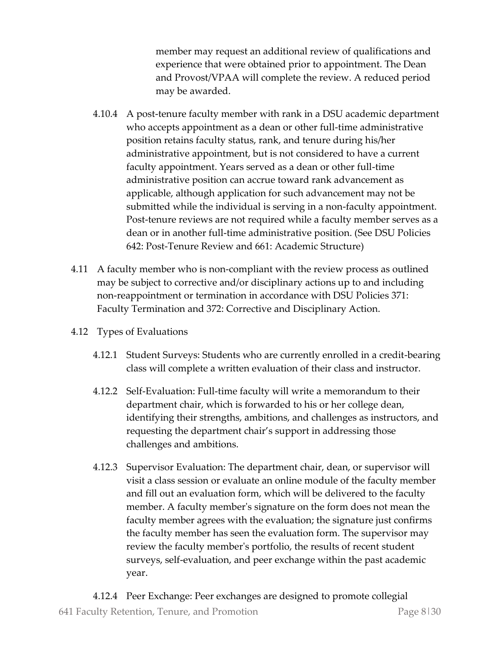member may request an additional review of qualifications and experience that were obtained prior to appointment. The Dean and Provost/VPAA will complete the review. A reduced period may be awarded.

- 4.10.4 A post-tenure faculty member with rank in a DSU academic department who accepts appointment as a dean or other full-time administrative position retains faculty status, rank, and tenure during his/her administrative appointment, but is not considered to have a current faculty appointment. Years served as a dean or other full-time administrative position can accrue toward rank advancement as applicable, although application for such advancement may not be submitted while the individual is serving in a non-faculty appointment. Post-tenure reviews are not required while a faculty member serves as a dean or in another full-time administrative position. (See DSU Policies 642: Post-Tenure Review and 661: Academic Structure)
- 4.11 A faculty member who is non-compliant with the review process as outlined may be subject to corrective and/or disciplinary actions up to and including non-reappointment or termination in accordance with DSU Policies 371: Faculty Termination and 372: Corrective and Disciplinary Action.
- 4.12 Types of Evaluations
	- 4.12.1 Student Surveys: Students who are currently enrolled in a credit-bearing class will complete a written evaluation of their class and instructor.
	- 4.12.2 Self-Evaluation: Full-time faculty will write a memorandum to their department chair, which is forwarded to his or her college dean, identifying their strengths, ambitions, and challenges as instructors, and requesting the department chair's support in addressing those challenges and ambitions.
	- 4.12.3 Supervisor Evaluation: The department chair, dean, or supervisor will visit a class session or evaluate an online module of the faculty member and fill out an evaluation form, which will be delivered to the faculty member. A faculty member's signature on the form does not mean the faculty member agrees with the evaluation; the signature just confirms the faculty member has seen the evaluation form. The supervisor may review the faculty member's portfolio, the results of recent student surveys, self-evaluation, and peer exchange within the past academic year.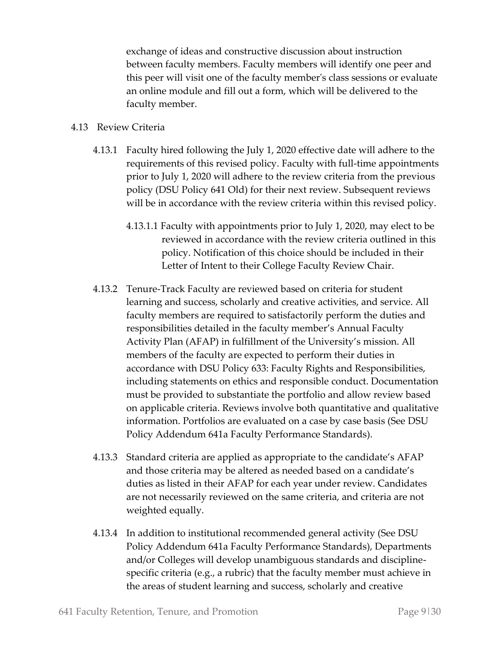exchange of ideas and constructive discussion about instruction between faculty members. Faculty members will identify one peer and this peer will visit one of the faculty member's class sessions or evaluate an online module and fill out a form, which will be delivered to the faculty member.

#### 4.13 Review Criteria

- 4.13.1 Faculty hired following the July 1, 2020 effective date will adhere to the requirements of this revised policy. Faculty with full-time appointments prior to July 1, 2020 will adhere to the review criteria from the previous policy (DSU Policy 641 Old) for their next review. Subsequent reviews will be in accordance with the review criteria within this revised policy.
	- 4.13.1.1 Faculty with appointments prior to July 1, 2020, may elect to be reviewed in accordance with the review criteria outlined in this policy. Notification of this choice should be included in their Letter of Intent to their College Faculty Review Chair.
- 4.13.2 Tenure-Track Faculty are reviewed based on criteria for student learning and success, scholarly and creative activities, and service. All faculty members are required to satisfactorily perform the duties and responsibilities detailed in the faculty member's Annual Faculty Activity Plan (AFAP) in fulfillment of the University's mission. All members of the faculty are expected to perform their duties in accordance with DSU Policy 633: Faculty Rights and Responsibilities, including statements on ethics and responsible conduct. Documentation must be provided to substantiate the portfolio and allow review based on applicable criteria. Reviews involve both quantitative and qualitative information. Portfolios are evaluated on a case by case basis (See DSU Policy Addendum 641a Faculty Performance Standards).
- 4.13.3 Standard criteria are applied as appropriate to the candidate's AFAP and those criteria may be altered as needed based on a candidate's duties as listed in their AFAP for each year under review. Candidates are not necessarily reviewed on the same criteria, and criteria are not weighted equally.
- 4.13.4 In addition to institutional recommended general activity (See DSU Policy Addendum 641a Faculty Performance Standards), Departments and/or Colleges will develop unambiguous standards and disciplinespecific criteria (e.g., a rubric) that the faculty member must achieve in the areas of student learning and success, scholarly and creative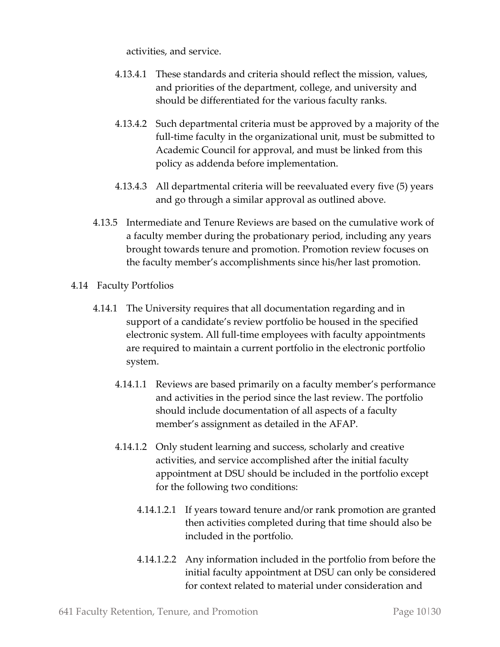activities, and service.

- 4.13.4.1 These standards and criteria should reflect the mission, values, and priorities of the department, college, and university and should be differentiated for the various faculty ranks.
- 4.13.4.2 Such departmental criteria must be approved by a majority of the full-time faculty in the organizational unit, must be submitted to Academic Council for approval, and must be linked from this policy as addenda before implementation.
- 4.13.4.3 All departmental criteria will be reevaluated every five (5) years and go through a similar approval as outlined above.
- 4.13.5 Intermediate and Tenure Reviews are based on the cumulative work of a faculty member during the probationary period, including any years brought towards tenure and promotion. Promotion review focuses on the faculty member's accomplishments since his/her last promotion.
- 4.14 Faculty Portfolios
	- 4.14.1 The University requires that all documentation regarding and in support of a candidate's review portfolio be housed in the specified electronic system. All full-time employees with faculty appointments are required to maintain a current portfolio in the electronic portfolio system.
		- 4.14.1.1 Reviews are based primarily on a faculty member's performance and activities in the period since the last review. The portfolio should include documentation of all aspects of a faculty member's assignment as detailed in the AFAP.
		- 4.14.1.2 Only student learning and success, scholarly and creative activities, and service accomplished after the initial faculty appointment at DSU should be included in the portfolio except for the following two conditions:
			- 4.14.1.2.1 If years toward tenure and/or rank promotion are granted then activities completed during that time should also be included in the portfolio.
			- 4.14.1.2.2 Any information included in the portfolio from before the initial faculty appointment at DSU can only be considered for context related to material under consideration and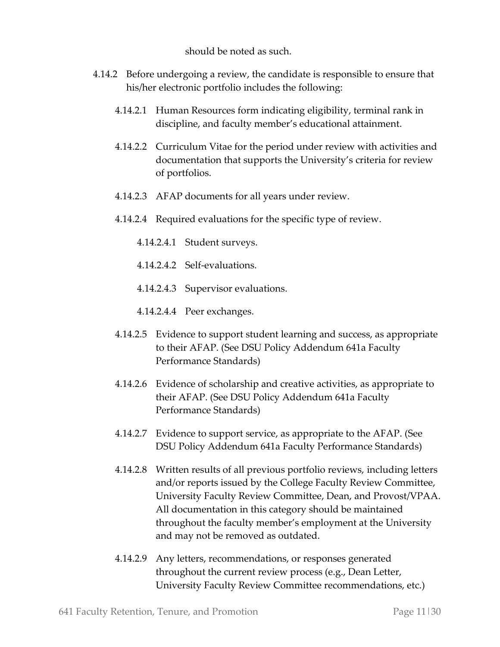should be noted as such.

- 4.14.2 Before undergoing a review, the candidate is responsible to ensure that his/her electronic portfolio includes the following:
	- 4.14.2.1 Human Resources form indicating eligibility, terminal rank in discipline, and faculty member's educational attainment.
	- 4.14.2.2 Curriculum Vitae for the period under review with activities and documentation that supports the University's criteria for review of portfolios.
	- 4.14.2.3 AFAP documents for all years under review.
	- 4.14.2.4 Required evaluations for the specific type of review.
		- 4.14.2.4.1 Student surveys.
		- 4.14.2.4.2 Self-evaluations.
		- 4.14.2.4.3 Supervisor evaluations.
		- 4.14.2.4.4 Peer exchanges.
	- 4.14.2.5 Evidence to support student learning and success, as appropriate to their AFAP. (See DSU Policy Addendum 641a Faculty Performance Standards)
	- 4.14.2.6 Evidence of scholarship and creative activities, as appropriate to their AFAP. (See DSU Policy Addendum 641a Faculty Performance Standards)
	- 4.14.2.7 Evidence to support service, as appropriate to the AFAP. (See DSU Policy Addendum 641a Faculty Performance Standards)
	- 4.14.2.8 Written results of all previous portfolio reviews, including letters and/or reports issued by the College Faculty Review Committee, University Faculty Review Committee, Dean, and Provost/VPAA. All documentation in this category should be maintained throughout the faculty member's employment at the University and may not be removed as outdated.
	- 4.14.2.9 Any letters, recommendations, or responses generated throughout the current review process (e.g., Dean Letter, University Faculty Review Committee recommendations, etc.)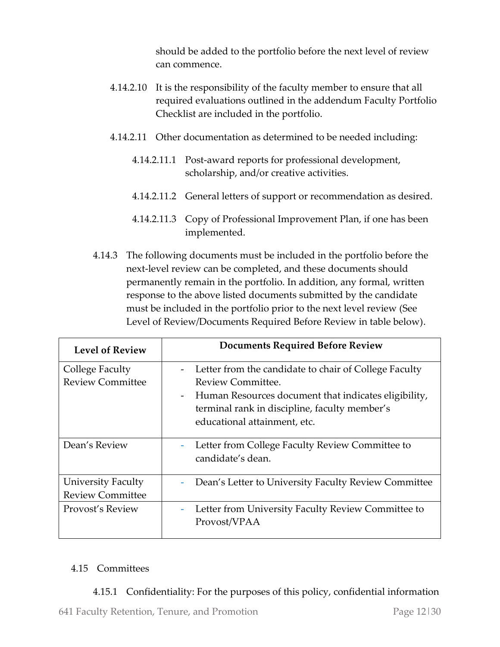should be added to the portfolio before the next level of review can commence.

- 4.14.2.10 It is the responsibility of the faculty member to ensure that all required evaluations outlined in the addendum Faculty Portfolio Checklist are included in the portfolio.
- 4.14.2.11 Other documentation as determined to be needed including:
	- 4.14.2.11.1 Post-award reports for professional development, scholarship, and/or creative activities.
	- 4.14.2.11.2 General letters of support or recommendation as desired.
	- 4.14.2.11.3 Copy of Professional Improvement Plan, if one has been implemented.
- 4.14.3 The following documents must be included in the portfolio before the next-level review can be completed, and these documents should permanently remain in the portfolio. In addition, any formal, written response to the above listed documents submitted by the candidate must be included in the portfolio prior to the next level review (See Level of Review/Documents Required Before Review in table below).

| <b>Level of Review</b>                               | <b>Documents Required Before Review</b>                                                                                                                                                                                                         |
|------------------------------------------------------|-------------------------------------------------------------------------------------------------------------------------------------------------------------------------------------------------------------------------------------------------|
| College Faculty<br><b>Review Committee</b>           | Letter from the candidate to chair of College Faculty<br>Review Committee.<br>Human Resources document that indicates eligibility,<br>$\overline{\phantom{a}}$<br>terminal rank in discipline, faculty member's<br>educational attainment, etc. |
| Dean's Review                                        | Letter from College Faculty Review Committee to<br>candidate's dean.                                                                                                                                                                            |
| <b>University Faculty</b><br><b>Review Committee</b> | Dean's Letter to University Faculty Review Committee                                                                                                                                                                                            |
| Provost's Review                                     | Letter from University Faculty Review Committee to<br>$\overline{\phantom{a}}$<br>Provost/VPAA                                                                                                                                                  |

#### 4.15 Committees

#### 4.15.1 Confidentiality: For the purposes of this policy, confidential information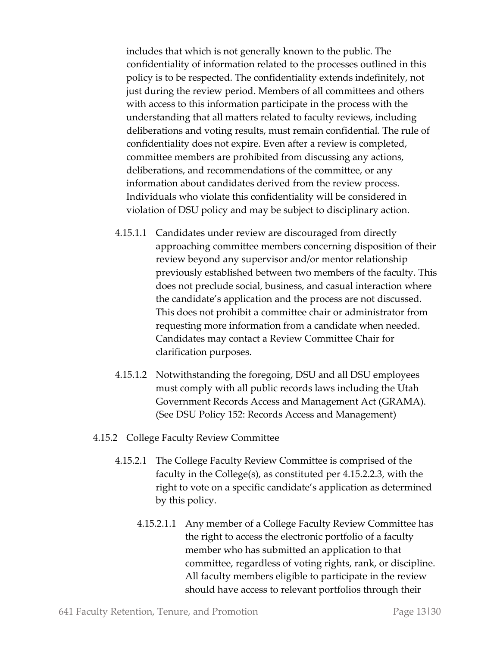includes that which is not generally known to the public. The confidentiality of information related to the processes outlined in this policy is to be respected. The confidentiality extends indefinitely, not just during the review period. Members of all committees and others with access to this information participate in the process with the understanding that all matters related to faculty reviews, including deliberations and voting results, must remain confidential. The rule of confidentiality does not expire. Even after a review is completed, committee members are prohibited from discussing any actions, deliberations, and recommendations of the committee, or any information about candidates derived from the review process. Individuals who violate this confidentiality will be considered in violation of DSU policy and may be subject to disciplinary action.

- 4.15.1.1 Candidates under review are discouraged from directly approaching committee members concerning disposition of their review beyond any supervisor and/or mentor relationship previously established between two members of the faculty. This does not preclude social, business, and casual interaction where the candidate's application and the process are not discussed. This does not prohibit a committee chair or administrator from requesting more information from a candidate when needed. Candidates may contact a Review Committee Chair for clarification purposes.
- 4.15.1.2 Notwithstanding the foregoing, DSU and all DSU employees must comply with all public records laws including the Utah Government Records Access and Management Act (GRAMA). (See DSU Policy 152: Records Access and Management)
- 4.15.2 College Faculty Review Committee
	- 4.15.2.1 The College Faculty Review Committee is comprised of the faculty in the College(s), as constituted per 4.15.2.2.3, with the right to vote on a specific candidate's application as determined by this policy.
		- 4.15.2.1.1 Any member of a College Faculty Review Committee has the right to access the electronic portfolio of a faculty member who has submitted an application to that committee, regardless of voting rights, rank, or discipline. All faculty members eligible to participate in the review should have access to relevant portfolios through their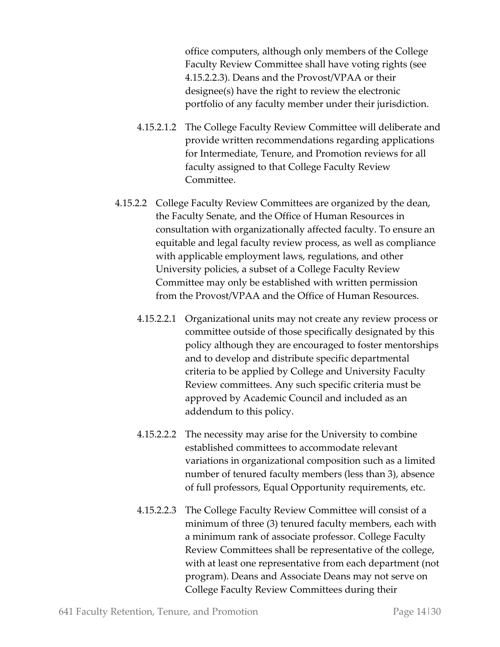office computers, although only members of the College Faculty Review Committee shall have voting rights (see 4.15.2.2.3). Deans and the Provost/VPAA or their designee(s) have the right to review the electronic portfolio of any faculty member under their jurisdiction.

- 4.15.2.1.2 The College Faculty Review Committee will deliberate and provide written recommendations regarding applications for Intermediate, Tenure, and Promotion reviews for all faculty assigned to that College Faculty Review Committee.
- 4.15.2.2 College Faculty Review Committees are organized by the dean, the Faculty Senate, and the Office of Human Resources in consultation with organizationally affected faculty. To ensure an equitable and legal faculty review process, as well as compliance with applicable employment laws, regulations, and other University policies, a subset of a College Faculty Review Committee may only be established with written permission from the Provost/VPAA and the Office of Human Resources.
	- 4.15.2.2.1 Organizational units may not create any review process or committee outside of those specifically designated by this policy although they are encouraged to foster mentorships and to develop and distribute specific departmental criteria to be applied by College and University Faculty Review committees. Any such specific criteria must be approved by Academic Council and included as an addendum to this policy.
	- 4.15.2.2.2 The necessity may arise for the University to combine established committees to accommodate relevant variations in organizational composition such as a limited number of tenured faculty members (less than 3), absence of full professors, Equal Opportunity requirements, etc.
	- 4.15.2.2.3 The College Faculty Review Committee will consist of a minimum of three (3) tenured faculty members, each with a minimum rank of associate professor. College Faculty Review Committees shall be representative of the college, with at least one representative from each department (not program). Deans and Associate Deans may not serve on College Faculty Review Committees during their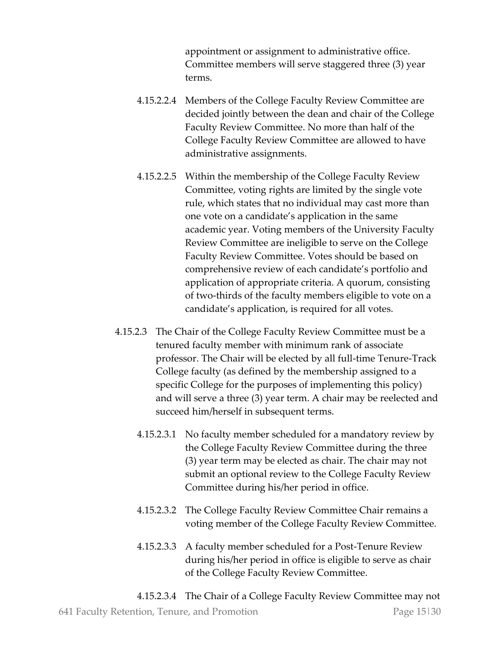appointment or assignment to administrative office. Committee members will serve staggered three (3) year terms.

- 4.15.2.2.4 Members of the College Faculty Review Committee are decided jointly between the dean and chair of the College Faculty Review Committee. No more than half of the College Faculty Review Committee are allowed to have administrative assignments.
- 4.15.2.2.5 Within the membership of the College Faculty Review Committee, voting rights are limited by the single vote rule, which states that no individual may cast more than one vote on a candidate's application in the same academic year. Voting members of the University Faculty Review Committee are ineligible to serve on the College Faculty Review Committee. Votes should be based on comprehensive review of each candidate's portfolio and application of appropriate criteria. A quorum, consisting of two-thirds of the faculty members eligible to vote on a candidate's application, is required for all votes.
- 4.15.2.3 The Chair of the College Faculty Review Committee must be a tenured faculty member with minimum rank of associate professor. The Chair will be elected by all full-time Tenure-Track College faculty (as defined by the membership assigned to a specific College for the purposes of implementing this policy) and will serve a three (3) year term. A chair may be reelected and succeed him/herself in subsequent terms.
	- 4.15.2.3.1 No faculty member scheduled for a mandatory review by the College Faculty Review Committee during the three (3) year term may be elected as chair. The chair may not submit an optional review to the College Faculty Review Committee during his/her period in office.
	- 4.15.2.3.2 The College Faculty Review Committee Chair remains a voting member of the College Faculty Review Committee.
	- 4.15.2.3.3 A faculty member scheduled for a Post-Tenure Review during his/her period in office is eligible to serve as chair of the College Faculty Review Committee.

641 Faculty Retention, Tenure, and Promotion Page 15|30 4.15.2.3.4 The Chair of a College Faculty Review Committee may not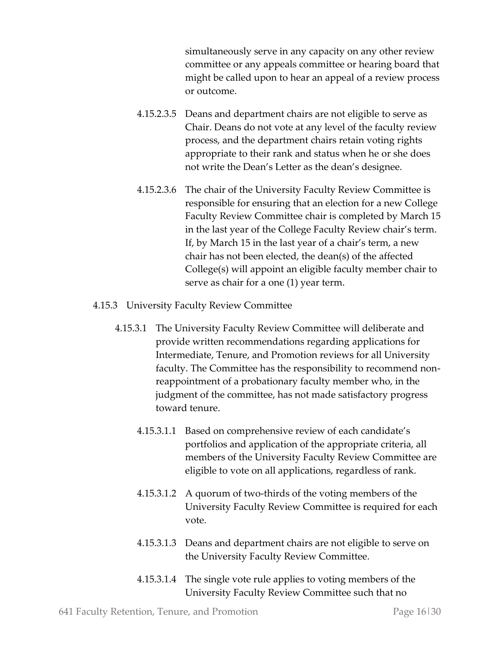simultaneously serve in any capacity on any other review committee or any appeals committee or hearing board that might be called upon to hear an appeal of a review process or outcome.

- 4.15.2.3.5 Deans and department chairs are not eligible to serve as Chair. Deans do not vote at any level of the faculty review process, and the department chairs retain voting rights appropriate to their rank and status when he or she does not write the Dean's Letter as the dean's designee.
- 4.15.2.3.6 The chair of the University Faculty Review Committee is responsible for ensuring that an election for a new College Faculty Review Committee chair is completed by March 15 in the last year of the College Faculty Review chair's term. If, by March 15 in the last year of a chair's term, a new chair has not been elected, the dean(s) of the affected College(s) will appoint an eligible faculty member chair to serve as chair for a one (1) year term.
- 4.15.3 University Faculty Review Committee
	- 4.15.3.1 The University Faculty Review Committee will deliberate and provide written recommendations regarding applications for Intermediate, Tenure, and Promotion reviews for all University faculty. The Committee has the responsibility to recommend nonreappointment of a probationary faculty member who, in the judgment of the committee, has not made satisfactory progress toward tenure.
		- 4.15.3.1.1 Based on comprehensive review of each candidate's portfolios and application of the appropriate criteria, all members of the University Faculty Review Committee are eligible to vote on all applications, regardless of rank.
		- 4.15.3.1.2 A quorum of two-thirds of the voting members of the University Faculty Review Committee is required for each vote.
		- 4.15.3.1.3 Deans and department chairs are not eligible to serve on the University Faculty Review Committee.
		- 4.15.3.1.4 The single vote rule applies to voting members of the University Faculty Review Committee such that no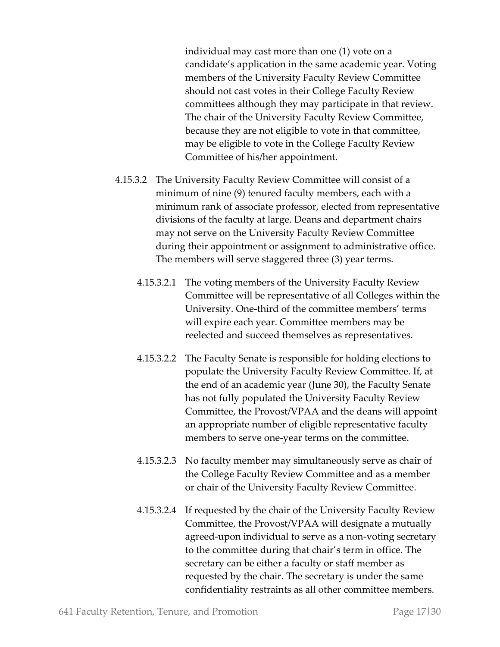individual may cast more than one (1) vote on a candidate's application in the same academic year. Voting members of the University Faculty Review Committee should not cast votes in their College Faculty Review committees although they may participate in that review. The chair of the University Faculty Review Committee, because they are not eligible to vote in that committee, may be eligible to vote in the College Faculty Review Committee of his/her appointment.

- 4.15.3.2 The University Faculty Review Committee will consist of a minimum of nine (9) tenured faculty members, each with a minimum rank of associate professor, elected from representative divisions of the faculty at large. Deans and department chairs may not serve on the University Faculty Review Committee during their appointment or assignment to administrative office. The members will serve staggered three (3) year terms.
	- 4.15.3.2.1 The voting members of the University Faculty Review Committee will be representative of all Colleges within the University. One-third of the committee members' terms will expire each year. Committee members may be reelected and succeed themselves as representatives.
	- 4.15.3.2.2 The Faculty Senate is responsible for holding elections to populate the University Faculty Review Committee. If, at the end of an academic year (June 30), the Faculty Senate has not fully populated the University Faculty Review Committee, the Provost/VPAA and the deans will appoint an appropriate number of eligible representative faculty members to serve one-year terms on the committee.
	- 4.15.3.2.3 No faculty member may simultaneously serve as chair of the College Faculty Review Committee and as a member or chair of the University Faculty Review Committee.
	- 4.15.3.2.4 If requested by the chair of the University Faculty Review Committee, the Provost/VPAA will designate a mutually agreed-upon individual to serve as a non-voting secretary to the committee during that chair's term in office. The secretary can be either a faculty or staff member as requested by the chair. The secretary is under the same confidentiality restraints as all other committee members.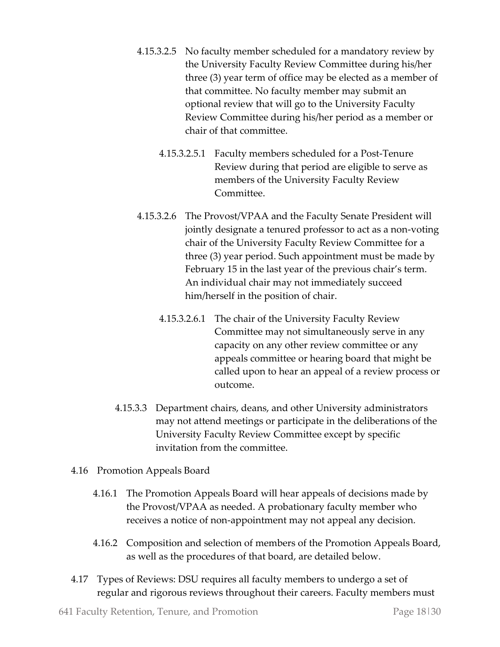- 4.15.3.2.5 No faculty member scheduled for a mandatory review by the University Faculty Review Committee during his/her three (3) year term of office may be elected as a member of that committee. No faculty member may submit an optional review that will go to the University Faculty Review Committee during his/her period as a member or chair of that committee.
	- 4.15.3.2.5.1 Faculty members scheduled for a Post-Tenure Review during that period are eligible to serve as members of the University Faculty Review Committee.
- 4.15.3.2.6 The Provost/VPAA and the Faculty Senate President will jointly designate a tenured professor to act as a non-voting chair of the University Faculty Review Committee for a three (3) year period. Such appointment must be made by February 15 in the last year of the previous chair's term. An individual chair may not immediately succeed him/herself in the position of chair.
	- 4.15.3.2.6.1 The chair of the University Faculty Review Committee may not simultaneously serve in any capacity on any other review committee or any appeals committee or hearing board that might be called upon to hear an appeal of a review process or outcome.
- 4.15.3.3 Department chairs, deans, and other University administrators may not attend meetings or participate in the deliberations of the University Faculty Review Committee except by specific invitation from the committee.
- 4.16 Promotion Appeals Board
	- 4.16.1 The Promotion Appeals Board will hear appeals of decisions made by the Provost/VPAA as needed. A probationary faculty member who receives a notice of non-appointment may not appeal any decision.
	- 4.16.2 Composition and selection of members of the Promotion Appeals Board, as well as the procedures of that board, are detailed below.
- 4.17 Types of Reviews: DSU requires all faculty members to undergo a set of regular and rigorous reviews throughout their careers. Faculty members must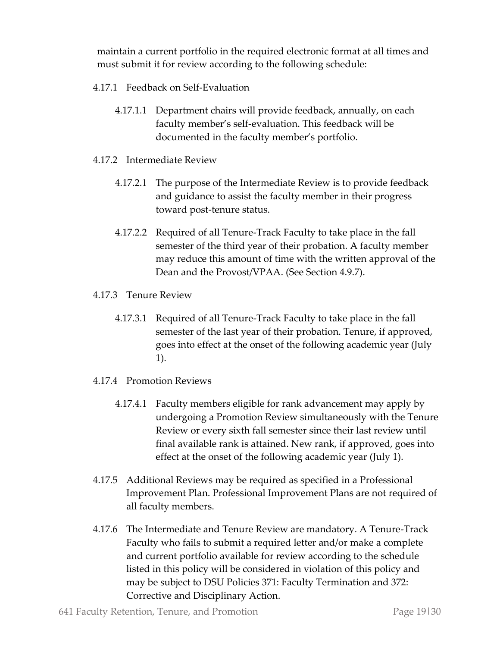maintain a current portfolio in the required electronic format at all times and must submit it for review according to the following schedule:

- 4.17.1 Feedback on Self-Evaluation
	- 4.17.1.1 Department chairs will provide feedback, annually, on each faculty member's self-evaluation. This feedback will be documented in the faculty member's portfolio.
- 4.17.2 Intermediate Review
	- 4.17.2.1 The purpose of the Intermediate Review is to provide feedback and guidance to assist the faculty member in their progress toward post-tenure status.
	- 4.17.2.2 Required of all Tenure-Track Faculty to take place in the fall semester of the third year of their probation. A faculty member may reduce this amount of time with the written approval of the Dean and the Provost/VPAA. (See Section 4.9.7).
- 4.17.3 Tenure Review
	- 4.17.3.1 Required of all Tenure-Track Faculty to take place in the fall semester of the last year of their probation. Tenure, if approved, goes into effect at the onset of the following academic year (July 1).
- 4.17.4 Promotion Reviews
	- 4.17.4.1 Faculty members eligible for rank advancement may apply by undergoing a Promotion Review simultaneously with the Tenure Review or every sixth fall semester since their last review until final available rank is attained. New rank, if approved, goes into effect at the onset of the following academic year (July 1).
- 4.17.5 Additional Reviews may be required as specified in a Professional Improvement Plan. Professional Improvement Plans are not required of all faculty members.
- 4.17.6 The Intermediate and Tenure Review are mandatory. A Tenure-Track Faculty who fails to submit a required letter and/or make a complete and current portfolio available for review according to the schedule listed in this policy will be considered in violation of this policy and may be subject to DSU Policies 371: Faculty Termination and 372: Corrective and Disciplinary Action.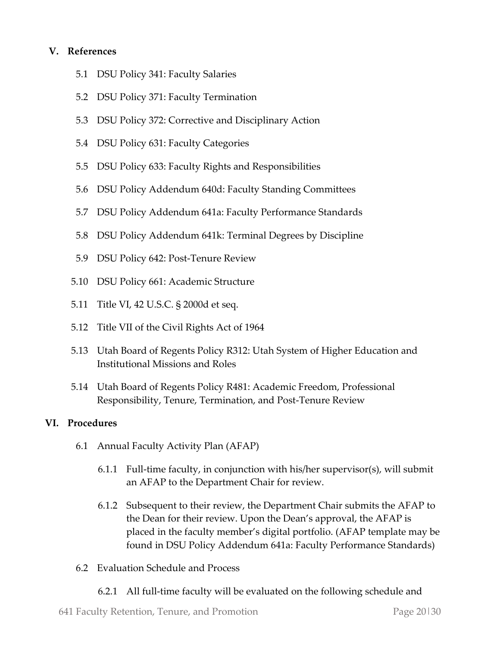#### **V. References**

- 5.1 DSU Policy 341: Faculty Salaries
- 5.2 DSU Policy 371: Faculty Termination
- 5.3 DSU Policy 372: Corrective and Disciplinary Action
- 5.4 DSU Policy 631: Faculty Categories
- 5.5 DSU Policy 633: Faculty Rights and Responsibilities
- 5.6 DSU Policy Addendum 640d: Faculty Standing Committees
- 5.7 DSU Policy Addendum 641a: Faculty Performance Standards
- 5.8 DSU Policy Addendum 641k: Terminal Degrees by Discipline
- 5.9 DSU Policy 642: Post-Tenure Review
- 5.10 DSU Policy 661: Academic Structure
- 5.11 Title VI, 42 U.S.C. § 2000d et seq.
- 5.12 Title VII of the Civil Rights Act of 1964
- 5.13 Utah Board of Regents Policy R312: Utah System of Higher Education and Institutional Missions and Roles
- 5.14 Utah Board of Regents Policy R481: Academic Freedom, Professional Responsibility, Tenure, Termination, and Post-Tenure Review

#### **VI. Procedures**

- 6.1 Annual Faculty Activity Plan (AFAP)
	- 6.1.1 Full-time faculty, in conjunction with his/her supervisor(s), will submit an AFAP to the Department Chair for review.
	- 6.1.2 Subsequent to their review, the Department Chair submits the AFAP to the Dean for their review. Upon the Dean's approval, the AFAP is placed in the faculty member's digital portfolio. (AFAP template may be found in DSU Policy Addendum 641a: Faculty Performance Standards)
- 6.2 Evaluation Schedule and Process
	- 6.2.1 All full-time faculty will be evaluated on the following schedule and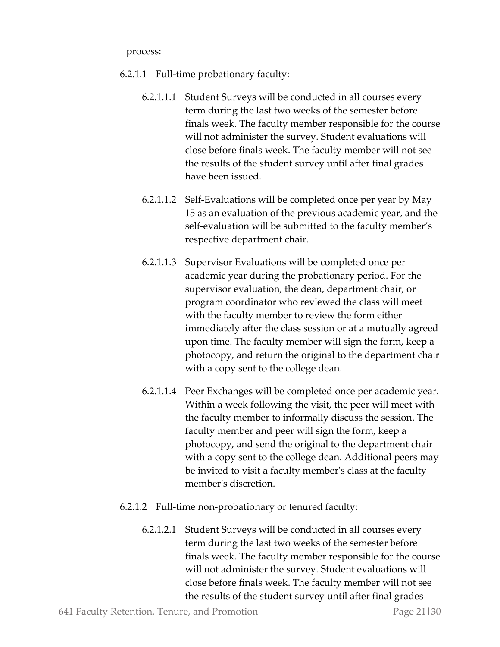process:

- 6.2.1.1 Full-time probationary faculty:
	- 6.2.1.1.1 Student Surveys will be conducted in all courses every term during the last two weeks of the semester before finals week. The faculty member responsible for the course will not administer the survey. Student evaluations will close before finals week. The faculty member will not see the results of the student survey until after final grades have been issued.
	- 6.2.1.1.2 Self-Evaluations will be completed once per year by May 15 as an evaluation of the previous academic year, and the self-evaluation will be submitted to the faculty member's respective department chair.
	- 6.2.1.1.3 Supervisor Evaluations will be completed once per academic year during the probationary period. For the supervisor evaluation, the dean, department chair, or program coordinator who reviewed the class will meet with the faculty member to review the form either immediately after the class session or at a mutually agreed upon time. The faculty member will sign the form, keep a photocopy, and return the original to the department chair with a copy sent to the college dean.
	- 6.2.1.1.4 Peer Exchanges will be completed once per academic year. Within a week following the visit, the peer will meet with the faculty member to informally discuss the session. The faculty member and peer will sign the form, keep a photocopy, and send the original to the department chair with a copy sent to the college dean. Additional peers may be invited to visit a faculty member's class at the faculty member's discretion.
- 6.2.1.2 Full-time non-probationary or tenured faculty:
	- 6.2.1.2.1 Student Surveys will be conducted in all courses every term during the last two weeks of the semester before finals week. The faculty member responsible for the course will not administer the survey. Student evaluations will close before finals week. The faculty member will not see the results of the student survey until after final grades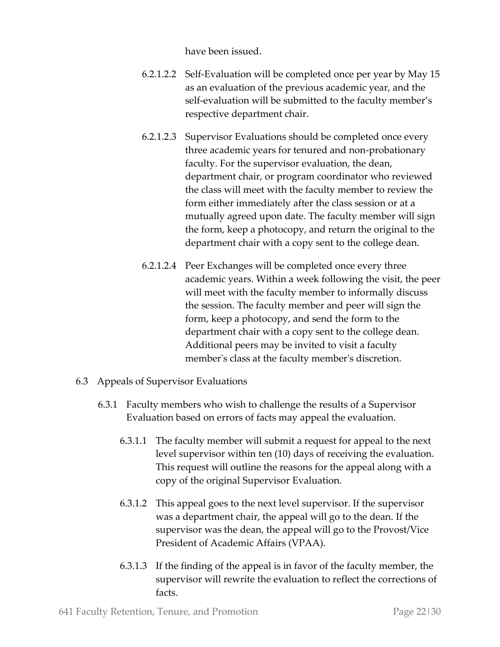have been issued.

- 6.2.1.2.2 Self-Evaluation will be completed once per year by May 15 as an evaluation of the previous academic year, and the self-evaluation will be submitted to the faculty member's respective department chair.
- 6.2.1.2.3 Supervisor Evaluations should be completed once every three academic years for tenured and non-probationary faculty. For the supervisor evaluation, the dean, department chair, or program coordinator who reviewed the class will meet with the faculty member to review the form either immediately after the class session or at a mutually agreed upon date. The faculty member will sign the form, keep a photocopy, and return the original to the department chair with a copy sent to the college dean.
- 6.2.1.2.4 Peer Exchanges will be completed once every three academic years. Within a week following the visit, the peer will meet with the faculty member to informally discuss the session. The faculty member and peer will sign the form, keep a photocopy, and send the form to the department chair with a copy sent to the college dean. Additional peers may be invited to visit a faculty member's class at the faculty member's discretion.
- 6.3 Appeals of Supervisor Evaluations
	- 6.3.1 Faculty members who wish to challenge the results of a Supervisor Evaluation based on errors of facts may appeal the evaluation.
		- 6.3.1.1 The faculty member will submit a request for appeal to the next level supervisor within ten (10) days of receiving the evaluation. This request will outline the reasons for the appeal along with a copy of the original Supervisor Evaluation.
		- 6.3.1.2 This appeal goes to the next level supervisor. If the supervisor was a department chair, the appeal will go to the dean. If the supervisor was the dean, the appeal will go to the Provost/Vice President of Academic Affairs (VPAA).
		- 6.3.1.3 If the finding of the appeal is in favor of the faculty member, the supervisor will rewrite the evaluation to reflect the corrections of facts.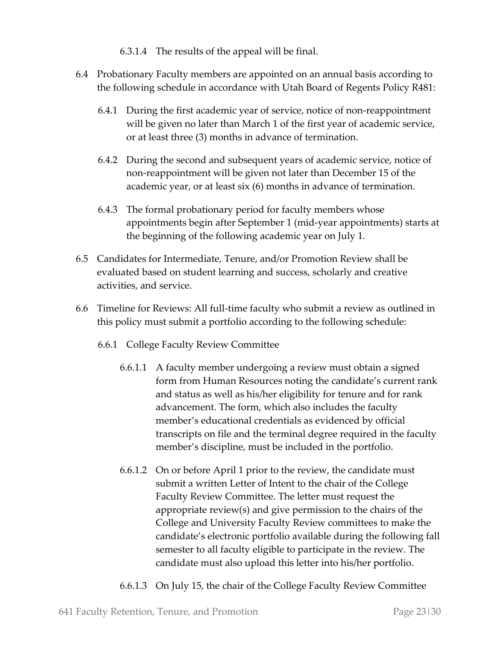- 6.3.1.4 The results of the appeal will be final.
- 6.4 Probationary Faculty members are appointed on an annual basis according to the following schedule in accordance with Utah Board of Regents Policy R481:
	- 6.4.1 During the first academic year of service, notice of non-reappointment will be given no later than March 1 of the first year of academic service, or at least three (3) months in advance of termination.
	- 6.4.2 During the second and subsequent years of academic service, notice of non-reappointment will be given not later than December 15 of the academic year, or at least six (6) months in advance of termination.
	- 6.4.3 The formal probationary period for faculty members whose appointments begin after September 1 (mid-year appointments) starts at the beginning of the following academic year on July 1.
- 6.5 Candidates for Intermediate, Tenure, and/or Promotion Review shall be evaluated based on student learning and success, scholarly and creative activities, and service.
- 6.6 Timeline for Reviews: All full-time faculty who submit a review as outlined in this policy must submit a portfolio according to the following schedule:
	- 6.6.1 College Faculty Review Committee
		- 6.6.1.1 A faculty member undergoing a review must obtain a signed form from Human Resources noting the candidate's current rank and status as well as his/her eligibility for tenure and for rank advancement. The form, which also includes the faculty member's educational credentials as evidenced by official transcripts on file and the terminal degree required in the faculty member's discipline, must be included in the portfolio.
		- 6.6.1.2 On or before April 1 prior to the review, the candidate must submit a written Letter of Intent to the chair of the College Faculty Review Committee. The letter must request the appropriate review(s) and give permission to the chairs of the College and University Faculty Review committees to make the candidate's electronic portfolio available during the following fall semester to all faculty eligible to participate in the review. The candidate must also upload this letter into his/her portfolio.
		- 6.6.1.3 On July 15, the chair of the College Faculty Review Committee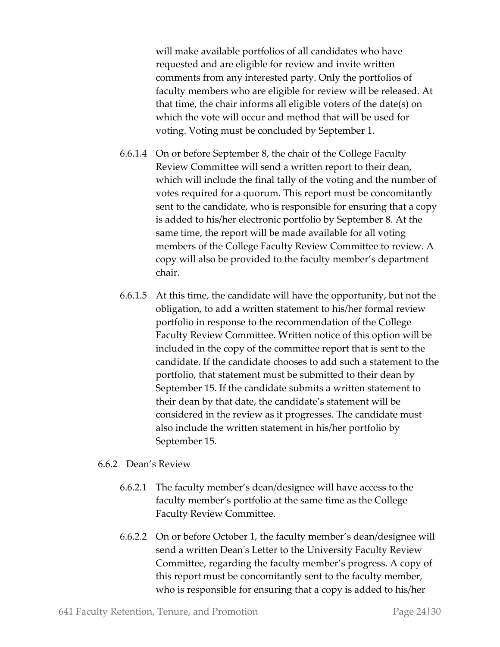will make available portfolios of all candidates who have requested and are eligible for review and invite written comments from any interested party. Only the portfolios of faculty members who are eligible for review will be released. At that time, the chair informs all eligible voters of the date(s) on which the vote will occur and method that will be used for voting. Voting must be concluded by September 1.

- 6.6.1.4 On or before September 8, the chair of the College Faculty Review Committee will send a written report to their dean, which will include the final tally of the voting and the number of votes required for a quorum. This report must be concomitantly sent to the candidate, who is responsible for ensuring that a copy is added to his/her electronic portfolio by September 8. At the same time, the report will be made available for all voting members of the College Faculty Review Committee to review. A copy will also be provided to the faculty member's department chair.
- 6.6.1.5 At this time, the candidate will have the opportunity, but not the obligation, to add a written statement to his/her formal review portfolio in response to the recommendation of the College Faculty Review Committee. Written notice of this option will be included in the copy of the committee report that is sent to the candidate. If the candidate chooses to add such a statement to the portfolio, that statement must be submitted to their dean by September 15. If the candidate submits a written statement to their dean by that date, the candidate's statement will be considered in the review as it progresses. The candidate must also include the written statement in his/her portfolio by September 15.

#### 6.6.2 Dean's Review

- 6.6.2.1 The faculty member's dean/designee will have access to the faculty member's portfolio at the same time as the College Faculty Review Committee.
- 6.6.2.2 On or before October 1, the faculty member's dean/designee will send a written Dean's Letter to the University Faculty Review Committee, regarding the faculty member's progress. A copy of this report must be concomitantly sent to the faculty member, who is responsible for ensuring that a copy is added to his/her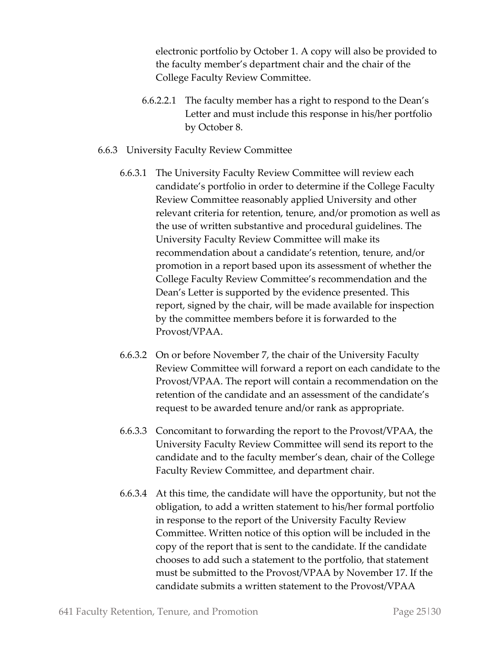electronic portfolio by October 1. A copy will also be provided to the faculty member's department chair and the chair of the College Faculty Review Committee.

- 6.6.2.2.1 The faculty member has a right to respond to the Dean's Letter and must include this response in his/her portfolio by October 8.
- 6.6.3 University Faculty Review Committee
	- 6.6.3.1 The University Faculty Review Committee will review each candidate's portfolio in order to determine if the College Faculty Review Committee reasonably applied University and other relevant criteria for retention, tenure, and/or promotion as well as the use of written substantive and procedural guidelines. The University Faculty Review Committee will make its recommendation about a candidate's retention, tenure, and/or promotion in a report based upon its assessment of whether the College Faculty Review Committee's recommendation and the Dean's Letter is supported by the evidence presented. This report, signed by the chair, will be made available for inspection by the committee members before it is forwarded to the Provost/VPAA.
	- 6.6.3.2 On or before November 7, the chair of the University Faculty Review Committee will forward a report on each candidate to the Provost/VPAA. The report will contain a recommendation on the retention of the candidate and an assessment of the candidate's request to be awarded tenure and/or rank as appropriate.
	- 6.6.3.3 Concomitant to forwarding the report to the Provost/VPAA, the University Faculty Review Committee will send its report to the candidate and to the faculty member's dean, chair of the College Faculty Review Committee, and department chair.
	- 6.6.3.4 At this time, the candidate will have the opportunity, but not the obligation, to add a written statement to his/her formal portfolio in response to the report of the University Faculty Review Committee. Written notice of this option will be included in the copy of the report that is sent to the candidate. If the candidate chooses to add such a statement to the portfolio, that statement must be submitted to the Provost/VPAA by November 17. If the candidate submits a written statement to the Provost/VPAA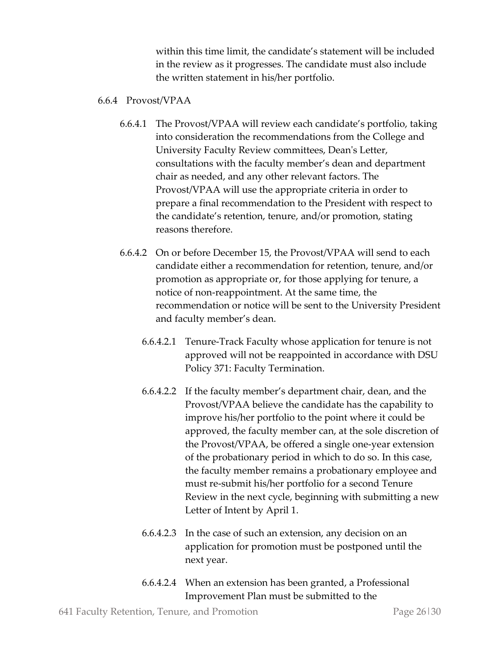within this time limit, the candidate's statement will be included in the review as it progresses. The candidate must also include the written statement in his/her portfolio.

#### 6.6.4 Provost/VPAA

- 6.6.4.1 The Provost/VPAA will review each candidate's portfolio, taking into consideration the recommendations from the College and University Faculty Review committees, Dean's Letter, consultations with the faculty member's dean and department chair as needed, and any other relevant factors. The Provost/VPAA will use the appropriate criteria in order to prepare a final recommendation to the President with respect to the candidate's retention, tenure, and/or promotion, stating reasons therefore.
- 6.6.4.2 On or before December 15, the Provost/VPAA will send to each candidate either a recommendation for retention, tenure, and/or promotion as appropriate or, for those applying for tenure, a notice of non-reappointment. At the same time, the recommendation or notice will be sent to the University President and faculty member's dean.
	- 6.6.4.2.1 Tenure-Track Faculty whose application for tenure is not approved will not be reappointed in accordance with DSU Policy 371: Faculty Termination.
	- 6.6.4.2.2 If the faculty member's department chair, dean, and the Provost/VPAA believe the candidate has the capability to improve his/her portfolio to the point where it could be approved, the faculty member can, at the sole discretion of the Provost/VPAA, be offered a single one-year extension of the probationary period in which to do so. In this case, the faculty member remains a probationary employee and must re-submit his/her portfolio for a second Tenure Review in the next cycle, beginning with submitting a new Letter of Intent by April 1.
	- 6.6.4.2.3 In the case of such an extension, any decision on an application for promotion must be postponed until the next year.
	- 6.6.4.2.4 When an extension has been granted, a Professional Improvement Plan must be submitted to the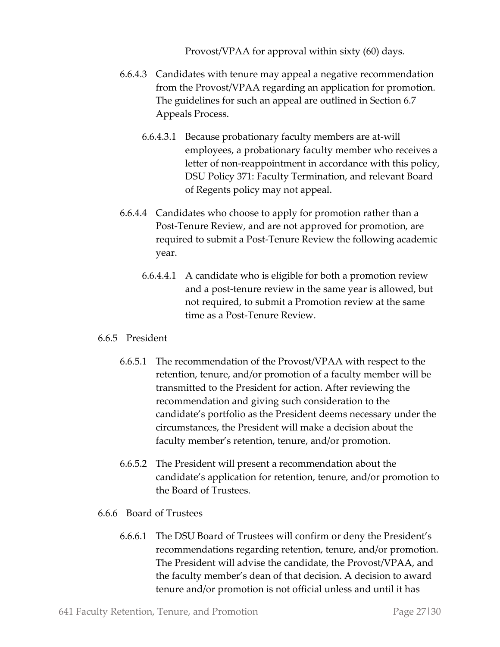Provost/VPAA for approval within sixty (60) days.

- 6.6.4.3 Candidates with tenure may appeal a negative recommendation from the Provost/VPAA regarding an application for promotion. The guidelines for such an appeal are outlined in Section 6.7 Appeals Process.
	- 6.6.4.3.1 Because probationary faculty members are at-will employees, a probationary faculty member who receives a letter of non-reappointment in accordance with this policy, DSU Policy 371: Faculty Termination, and relevant Board of Regents policy may not appeal.
- 6.6.4.4 Candidates who choose to apply for promotion rather than a Post-Tenure Review, and are not approved for promotion, are required to submit a Post-Tenure Review the following academic year.
	- 6.6.4.4.1 A candidate who is eligible for both a promotion review and a post-tenure review in the same year is allowed, but not required, to submit a Promotion review at the same time as a Post-Tenure Review.

#### 6.6.5 President

- 6.6.5.1 The recommendation of the Provost/VPAA with respect to the retention, tenure, and/or promotion of a faculty member will be transmitted to the President for action. After reviewing the recommendation and giving such consideration to the candidate's portfolio as the President deems necessary under the circumstances, the President will make a decision about the faculty member's retention, tenure, and/or promotion.
- 6.6.5.2 The President will present a recommendation about the candidate's application for retention, tenure, and/or promotion to the Board of Trustees.
- 6.6.6 Board of Trustees
	- 6.6.6.1 The DSU Board of Trustees will confirm or deny the President's recommendations regarding retention, tenure, and/or promotion. The President will advise the candidate, the Provost/VPAA, and the faculty member's dean of that decision. A decision to award tenure and/or promotion is not official unless and until it has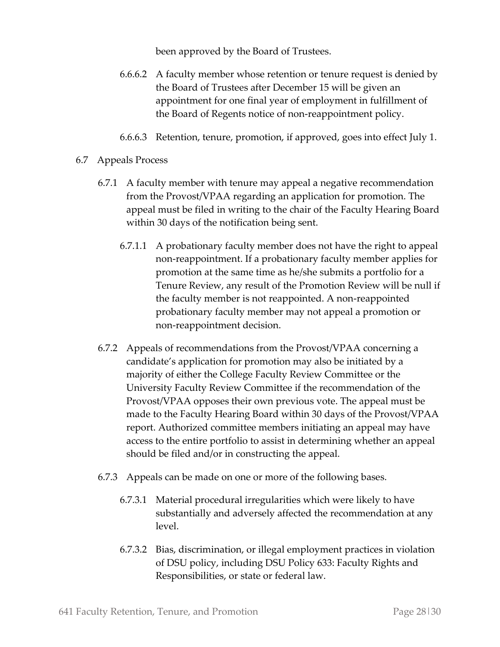been approved by the Board of Trustees.

- 6.6.6.2 A faculty member whose retention or tenure request is denied by the Board of Trustees after December 15 will be given an appointment for one final year of employment in fulfillment of the Board of Regents notice of non-reappointment policy.
- 6.6.6.3 Retention, tenure, promotion, if approved, goes into effect July 1.
- 6.7 Appeals Process
	- 6.7.1 A faculty member with tenure may appeal a negative recommendation from the Provost/VPAA regarding an application for promotion. The appeal must be filed in writing to the chair of the Faculty Hearing Board within 30 days of the notification being sent.
		- 6.7.1.1 A probationary faculty member does not have the right to appeal non-reappointment. If a probationary faculty member applies for promotion at the same time as he/she submits a portfolio for a Tenure Review, any result of the Promotion Review will be null if the faculty member is not reappointed. A non-reappointed probationary faculty member may not appeal a promotion or non-reappointment decision.
	- 6.7.2 Appeals of recommendations from the Provost/VPAA concerning a candidate's application for promotion may also be initiated by a majority of either the College Faculty Review Committee or the University Faculty Review Committee if the recommendation of the Provost/VPAA opposes their own previous vote. The appeal must be made to the Faculty Hearing Board within 30 days of the Provost/VPAA report. Authorized committee members initiating an appeal may have access to the entire portfolio to assist in determining whether an appeal should be filed and/or in constructing the appeal.
	- 6.7.3 Appeals can be made on one or more of the following bases.
		- 6.7.3.1 Material procedural irregularities which were likely to have substantially and adversely affected the recommendation at any level.
		- 6.7.3.2 Bias, discrimination, or illegal employment practices in violation of DSU policy, including DSU Policy 633: Faculty Rights and Responsibilities, or state or federal law.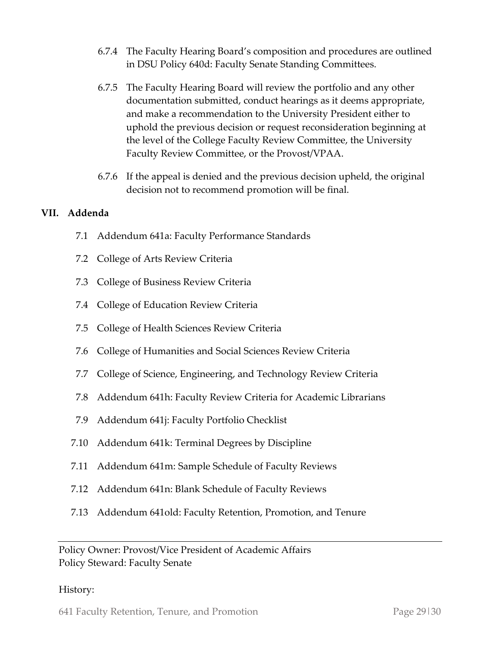- 6.7.4 The Faculty Hearing Board's composition and procedures are outlined in DSU Policy 640d: Faculty Senate Standing Committees.
- 6.7.5 The Faculty Hearing Board will review the portfolio and any other documentation submitted, conduct hearings as it deems appropriate, and make a recommendation to the University President either to uphold the previous decision or request reconsideration beginning at the level of the College Faculty Review Committee, the University Faculty Review Committee, or the Provost/VPAA.
- 6.7.6 If the appeal is denied and the previous decision upheld, the original decision not to recommend promotion will be final.

#### **VII. Addenda**

- 7.1 Addendum 641a: Faculty Performance Standards
- 7.2 College of Arts Review Criteria
- 7.3 College of Business Review Criteria
- 7.4 College of Education Review Criteria
- 7.5 College of Health Sciences Review Criteria
- 7.6 College of Humanities and Social Sciences Review Criteria
- 7.7 College of Science, Engineering, and Technology Review Criteria
- 7.8 Addendum 641h: Faculty Review Criteria for Academic Librarians
- 7.9 Addendum 641j: Faculty Portfolio Checklist
- 7.10 Addendum 641k: Terminal Degrees by Discipline
- 7.11 Addendum 641m: Sample Schedule of Faculty Reviews
- 7.12 Addendum 641n: Blank Schedule of Faculty Reviews
- 7.13 Addendum 641old: Faculty Retention, Promotion, and Tenure

Policy Owner: Provost/Vice President of Academic Affairs Policy Steward: Faculty Senate

#### History:

641 Faculty Retention, Tenure, and Promotion Page 29|30